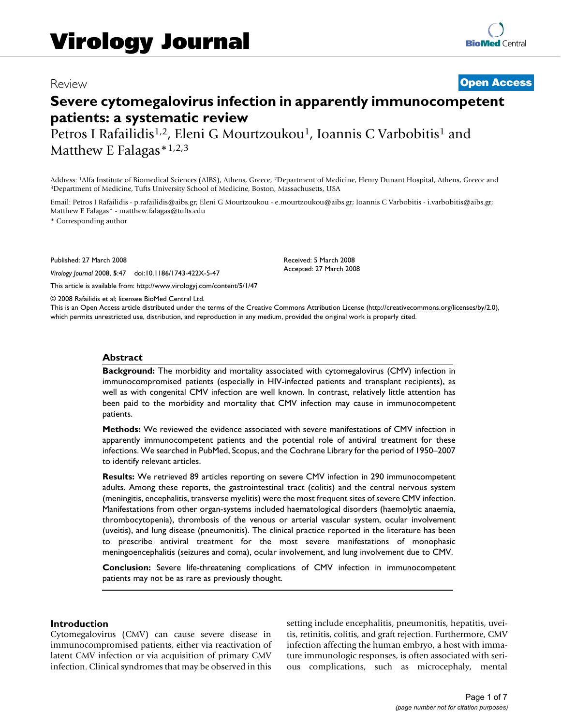# Review **[Open Access](http://www.biomedcentral.com/info/about/charter/)**

# **Severe cytomegalovirus infection in apparently immunocompetent patients: a systematic review**

Petros I Rafailidis<sup>1,2</sup>, Eleni G Mourtzoukou<sup>1</sup>, Ioannis C Varbobitis<sup>1</sup> and Matthew E Falagas \* 1,2,3

Address: <sup>1</sup>Alfa Institute of Biomedical Sciences (AIBS), Athens, Greece, <sup>2</sup>Department of Medicine, Henry Dunant Hospital, Athens, Greece and <sup>3</sup>Department of Medicine, Tufts University School of Medicine, Boston, Massach

Email: Petros I Rafailidis - p.rafailidis@aibs.gr; Eleni G Mourtzoukou - e.mourtzoukou@aibs.gr; Ioannis C Varbobitis - i.varbobitis@aibs.gr; Matthew E Falagas\* - matthew.falagas@tufts.edu

\* Corresponding author

Published: 27 March 2008

*Virology Journal* 2008, **5**:47 doi:10.1186/1743-422X-5-47

[This article is available from: http://www.virologyj.com/content/5/1/47](http://www.virologyj.com/content/5/1/47)

© 2008 Rafailidis et al; licensee BioMed Central Ltd.

This is an Open Access article distributed under the terms of the Creative Commons Attribution License [\(http://creativecommons.org/licenses/by/2.0\)](http://creativecommons.org/licenses/by/2.0), which permits unrestricted use, distribution, and reproduction in any medium, provided the original work is properly cited.

Received: 5 March 2008 Accepted: 27 March 2008

#### **Abstract**

**Background:** The morbidity and mortality associated with cytomegalovirus (CMV) infection in immunocompromised patients (especially in HIV-infected patients and transplant recipients), as well as with congenital CMV infection are well known. In contrast, relatively little attention has been paid to the morbidity and mortality that CMV infection may cause in immunocompetent patients.

**Methods:** We reviewed the evidence associated with severe manifestations of CMV infection in apparently immunocompetent patients and the potential role of antiviral treatment for these infections. We searched in PubMed, Scopus, and the Cochrane Library for the period of 1950–2007 to identify relevant articles.

**Results:** We retrieved 89 articles reporting on severe CMV infection in 290 immunocompetent adults. Among these reports, the gastrointestinal tract (colitis) and the central nervous system (meningitis, encephalitis, transverse myelitis) were the most frequent sites of severe CMV infection. Manifestations from other organ-systems included haematological disorders (haemolytic anaemia, thrombocytopenia), thrombosis of the venous or arterial vascular system, ocular involvement (uveitis), and lung disease (pneumonitis). The clinical practice reported in the literature has been to prescribe antiviral treatment for the most severe manifestations of monophasic meningoencephalitis (seizures and coma), ocular involvement, and lung involvement due to CMV.

**Conclusion:** Severe life-threatening complications of CMV infection in immunocompetent patients may not be as rare as previously thought.

#### **Introduction**

Cytomegalovirus (CMV) can cause severe disease in immunocompromised patients, either via reactivation of latent CMV infection or via acquisition of primary CMV infection. Clinical syndromes that may be observed in this

setting include encephalitis, pneumonitis, hepatitis, uveitis, retinitis, colitis, and graft rejection. Furthermore, CMV infection affecting the human embryo, a host with immature immunologic responses, is often associated with serious complications, such as microcephaly, mental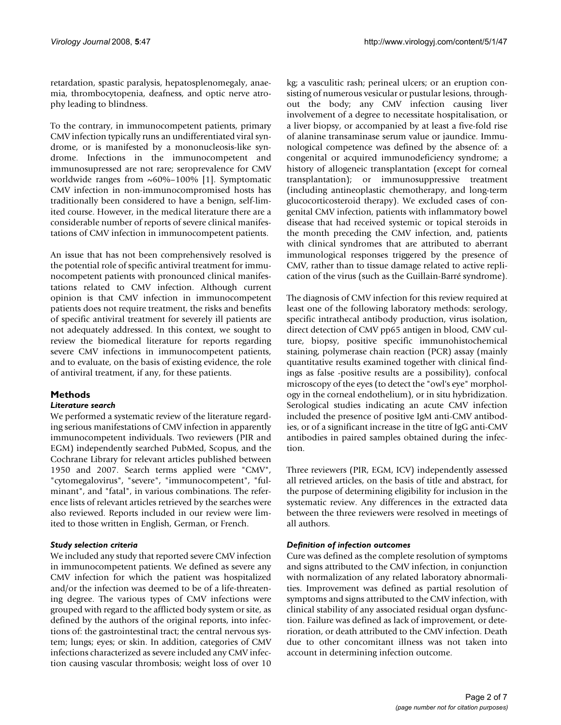retardation, spastic paralysis, hepatosplenomegaly, anaemia, thrombocytopenia, deafness, and optic nerve atrophy leading to blindness.

To the contrary, in immunocompetent patients, primary CMV infection typically runs an undifferentiated viral syndrome, or is manifested by a mononucleosis-like syndrome. Infections in the immunocompetent and immunosupressed are not rare; seroprevalence for CMV worldwide ranges from ~60%–100% [1]. Symptomatic CMV infection in non-immunocompromised hosts has traditionally been considered to have a benign, self-limited course. However, in the medical literature there are a considerable number of reports of severe clinical manifestations of CMV infection in immunocompetent patients.

An issue that has not been comprehensively resolved is the potential role of specific antiviral treatment for immunocompetent patients with pronounced clinical manifestations related to CMV infection. Although current opinion is that CMV infection in immunocompetent patients does not require treatment, the risks and benefits of specific antiviral treatment for severely ill patients are not adequately addressed. In this context, we sought to review the biomedical literature for reports regarding severe CMV infections in immunocompetent patients, and to evaluate, on the basis of existing evidence, the role of antiviral treatment, if any, for these patients.

# **Methods**

# *Literature search*

We performed a systematic review of the literature regarding serious manifestations of CMV infection in apparently immunocompetent individuals. Two reviewers (PIR and EGM) independently searched PubMed, Scopus, and the Cochrane Library for relevant articles published between 1950 and 2007. Search terms applied were "CMV", "cytomegalovirus", "severe", "immunocompetent", "fulminant", and "fatal", in various combinations. The reference lists of relevant articles retrieved by the searches were also reviewed. Reports included in our review were limited to those written in English, German, or French.

# *Study selection criteria*

We included any study that reported severe CMV infection in immunocompetent patients. We defined as severe any CMV infection for which the patient was hospitalized and/or the infection was deemed to be of a life-threatening degree. The various types of CMV infections were grouped with regard to the afflicted body system or site, as defined by the authors of the original reports, into infections of: the gastrointestinal tract; the central nervous system; lungs; eyes; or skin. In addition, categories of CMV infections characterized as severe included any CMV infection causing vascular thrombosis; weight loss of over 10 kg; a vasculitic rash; perineal ulcers; or an eruption consisting of numerous vesicular or pustular lesions, throughout the body; any CMV infection causing liver involvement of a degree to necessitate hospitalisation, or a liver biopsy, or accompanied by at least a five-fold rise of alanine transaminase serum value or jaundice. Immunological competence was defined by the absence of: a congenital or acquired immunodeficiency syndrome; a history of allogeneic transplantation (except for corneal transplantation); or immunosuppressive treatment (including antineoplastic chemotherapy, and long-term glucocorticosteroid therapy). We excluded cases of congenital CMV infection, patients with inflammatory bowel disease that had received systemic or topical steroids in the month preceding the CMV infection, and, patients with clinical syndromes that are attributed to aberrant immunological responses triggered by the presence of CMV, rather than to tissue damage related to active replication of the virus (such as the Guillain-Barré syndrome).

The diagnosis of CMV infection for this review required at least one of the following laboratory methods: serology, specific intrathecal antibody production, virus isolation, direct detection of CMV pp65 antigen in blood, CMV culture, biopsy, positive specific immunohistochemical staining, polymerase chain reaction (PCR) assay (mainly quantitative results examined together with clinical findings as false -positive results are a possibility), confocal microscopy of the eyes (to detect the "owl's eye" morphology in the corneal endothelium), or in situ hybridization. Serological studies indicating an acute CMV infection included the presence of positive IgM anti-CMV antibodies, or of a significant increase in the titre of IgG anti-CMV antibodies in paired samples obtained during the infection.

Three reviewers (PIR, EGM, ICV) independently assessed all retrieved articles, on the basis of title and abstract, for the purpose of determining eligibility for inclusion in the systematic review. Any differences in the extracted data between the three reviewers were resolved in meetings of all authors.

# *Definition of infection outcomes*

Cure was defined as the complete resolution of symptoms and signs attributed to the CMV infection, in conjunction with normalization of any related laboratory abnormalities. Improvement was defined as partial resolution of symptoms and signs attributed to the CMV infection, with clinical stability of any associated residual organ dysfunction. Failure was defined as lack of improvement, or deterioration, or death attributed to the CMV infection. Death due to other concomitant illness was not taken into account in determining infection outcome.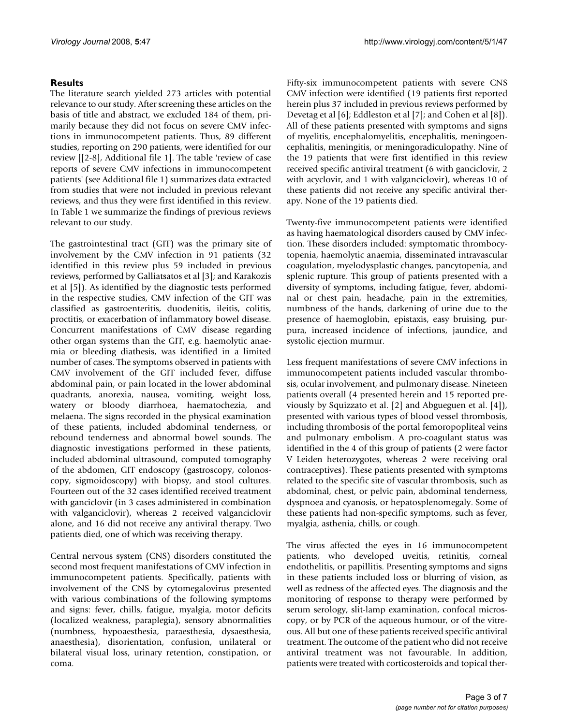# **Results**

The literature search yielded 273 articles with potential relevance to our study. After screening these articles on the basis of title and abstract, we excluded 184 of them, primarily because they did not focus on severe CMV infections in immunocompetent patients. Thus, 89 different studies, reporting on 290 patients, were identified for our review [[2-8], Additional file 1]. The table 'review of case reports of severe CMV infections in immunocompetent patients' (see Additional file 1) summarizes data extracted from studies that were not included in previous relevant reviews, and thus they were first identified in this review. In Table 1 we summarize the findings of previous reviews relevant to our study.

The gastrointestinal tract (GIT) was the primary site of involvement by the CMV infection in 91 patients (32 identified in this review plus 59 included in previous reviews, performed by Galliatsatos et al [3]; and Karakozis et al [5]). As identified by the diagnostic tests performed in the respective studies, CMV infection of the GIT was classified as gastroenteritis, duodenitis, ileitis, colitis, proctitis, or exacerbation of inflammatory bowel disease. Concurrent manifestations of CMV disease regarding other organ systems than the GIT, e.g. haemolytic anaemia or bleeding diathesis, was identified in a limited number of cases. The symptoms observed in patients with CMV involvement of the GIT included fever, diffuse abdominal pain, or pain located in the lower abdominal quadrants, anorexia, nausea, vomiting, weight loss, watery or bloody diarrhoea, haematochezia, and melaena. The signs recorded in the physical examination of these patients, included abdominal tenderness, or rebound tenderness and abnormal bowel sounds. The diagnostic investigations performed in these patients, included abdominal ultrasound, computed tomography of the abdomen, GIT endoscopy (gastroscopy, colonoscopy, sigmoidoscopy) with biopsy, and stool cultures. Fourteen out of the 32 cases identified received treatment with ganciclovir (in 3 cases administered in combination with valganciclovir), whereas 2 received valganciclovir alone, and 16 did not receive any antiviral therapy. Two patients died, one of which was receiving therapy.

Central nervous system (CNS) disorders constituted the second most frequent manifestations of CMV infection in immunocompetent patients. Specifically, patients with involvement of the CNS by cytomegalovirus presented with various combinations of the following symptoms and signs: fever, chills, fatigue, myalgia, motor deficits (localized weakness, paraplegia), sensory abnormalities (numbness, hypoaesthesia, paraesthesia, dysaesthesia, anaesthesia), disorientation, confusion, unilateral or bilateral visual loss, urinary retention, constipation, or coma.

Fifty-six immunocompetent patients with severe CNS CMV infection were identified (19 patients first reported herein plus 37 included in previous reviews performed by Devetag et al [6]; Eddleston et al [7]; and Cohen et al [8]). All of these patients presented with symptoms and signs of myelitis, encephalomyelitis, encephalitis, meningoencephalitis, meningitis, or meningoradiculopathy. Nine of the 19 patients that were first identified in this review received specific antiviral treatment (6 with ganciclovir, 2 with acyclovir, and 1 with valganciclovir), whereas 10 of these patients did not receive any specific antiviral therapy. None of the 19 patients died.

Twenty-five immunocompetent patients were identified as having haematological disorders caused by CMV infection. These disorders included: symptomatic thrombocytopenia, haemolytic anaemia, disseminated intravascular coagulation, myelodysplastic changes, pancytopenia, and splenic rupture. This group of patients presented with a diversity of symptoms, including fatigue, fever, abdominal or chest pain, headache, pain in the extremities, numbness of the hands, darkening of urine due to the presence of haemoglobin, epistaxis, easy bruising, purpura, increased incidence of infections, jaundice, and systolic ejection murmur.

Less frequent manifestations of severe CMV infections in immunocompetent patients included vascular thrombosis, ocular involvement, and pulmonary disease. Nineteen patients overall (4 presented herein and 15 reported previously by Squizzato et al. [2] and Abgueguen et al. [4]), presented with various types of blood vessel thrombosis, including thrombosis of the portal femoropopliteal veins and pulmonary embolism. A pro-coagulant status was identified in the 4 of this group of patients (2 were factor V Leiden heterozygotes, whereas 2 were receiving oral contraceptives). These patients presented with symptoms related to the specific site of vascular thrombosis, such as abdominal, chest, or pelvic pain, abdominal tenderness, dyspnoea and cyanosis, or hepatosplenomegaly. Some of these patients had non-specific symptoms, such as fever, myalgia, asthenia, chills, or cough.

The virus affected the eyes in 16 immunocompetent patients, who developed uveitis, retinitis, corneal endothelitis, or papillitis. Presenting symptoms and signs in these patients included loss or blurring of vision, as well as redness of the affected eyes. The diagnosis and the monitoring of response to therapy were performed by serum serology, slit-lamp examination, confocal microscopy, or by PCR of the aqueous humour, or of the vitreous. All but one of these patients received specific antiviral treatment. The outcome of the patient who did not receive antiviral treatment was not favourable. In addition, patients were treated with corticosteroids and topical ther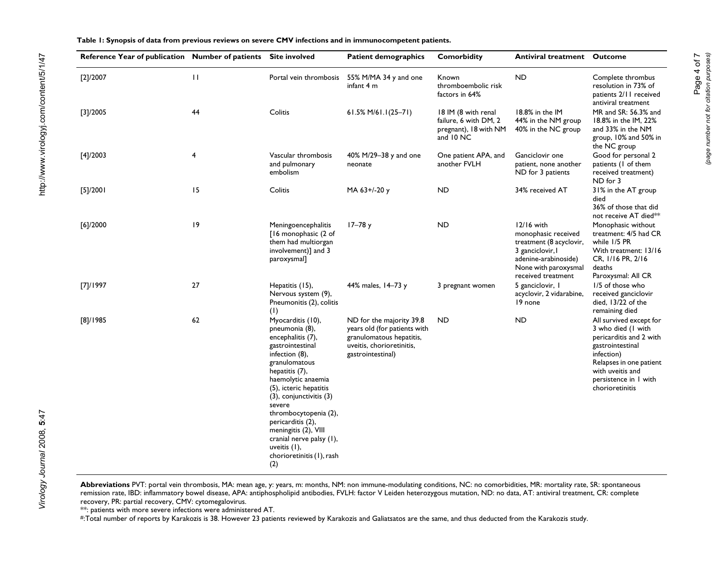**Table 1: Synopsis of data from previous reviews on severe CMV infections and in immunocompetent patients.**

| Reference Year of publication Number of patients Site involved |              |                                                                                                                                                                                                                                                                                                                                                                                 | <b>Patient demographics</b>                                                                                                            | <b>Comorbidity</b>                                                                 | <b>Antiviral treatment Outcome</b>                                                                                                                     |                                                                                                                                                                                                       |
|----------------------------------------------------------------|--------------|---------------------------------------------------------------------------------------------------------------------------------------------------------------------------------------------------------------------------------------------------------------------------------------------------------------------------------------------------------------------------------|----------------------------------------------------------------------------------------------------------------------------------------|------------------------------------------------------------------------------------|--------------------------------------------------------------------------------------------------------------------------------------------------------|-------------------------------------------------------------------------------------------------------------------------------------------------------------------------------------------------------|
| $[2]$ /2007                                                    | $\mathbf{H}$ |                                                                                                                                                                                                                                                                                                                                                                                 | Portal vein thrombosis 55% M/MA 34 y and one<br>infant 4 m                                                                             | Known<br>thromboembolic risk<br>factors in 64%                                     | <b>ND</b>                                                                                                                                              | Complete thrombus<br>resolution in 73% of<br>patients 2/11 received<br>antiviral treatment                                                                                                            |
| [3]/2005                                                       | 44           | Colitis                                                                                                                                                                                                                                                                                                                                                                         | 61.5% M/61.1(25-71)                                                                                                                    | 18 IM (8 with renal<br>failure, 6 with DM, 2<br>pregnant), 18 with NM<br>and 10 NC | 18.8% in the IM<br>44% in the NM group<br>40% in the NC group                                                                                          | MR and SR: 56.3% and<br>18.8% in the IM, 22%<br>and 33% in the NM<br>group, 10% and 50% in<br>the NC group                                                                                            |
| $[4]$ /2003                                                    | 4            | Vascular thrombosis<br>and pulmonary<br>embolism                                                                                                                                                                                                                                                                                                                                | 40% M/29-38 y and one<br>neonate                                                                                                       | One patient APA, and<br>another FVLH                                               | Ganciclovir one<br>patient, none another<br>ND for 3 patients                                                                                          | Good for personal 2<br>patients (1 of them<br>received treatment)<br>ND for 3                                                                                                                         |
| [5]/2001                                                       | 15           | Colitis                                                                                                                                                                                                                                                                                                                                                                         | MA 63+/-20 y                                                                                                                           | <b>ND</b>                                                                          | 34% received AT                                                                                                                                        | 31% in the AT group<br>died<br>36% of those that did<br>not receive AT died**                                                                                                                         |
| $[6]$ /2000                                                    | 9            | Meningoencephalitis<br>[16 monophasic (2 of<br>them had multiorgan<br>involvement)] and 3<br>paroxysmal]                                                                                                                                                                                                                                                                        | $17 - 78y$                                                                                                                             | <b>ND</b>                                                                          | 12/16 with<br>monophasic received<br>treatment (8 acyclovir,<br>3 ganciclovir, l<br>adenine-arabinoside)<br>None with paroxysmal<br>received treatment | Monophasic without<br>treatment: 4/5 had CR<br>while 1/5 PR<br>With treatment: 13/16<br>CR, 1/16 PR, 2/16<br>deaths<br>Paroxysmal: All CR                                                             |
| [7]/1997                                                       | 27           | Hepatitis (15),<br>Nervous system (9),<br>Pneumonitis (2), colitis<br>(1)                                                                                                                                                                                                                                                                                                       | 44% males, 14–73 y                                                                                                                     | 3 pregnant women                                                                   | 5 ganciclovir, I<br>acyclovir, 2 vidarabine,<br>19 none                                                                                                | 1/5 of those who<br>received ganciclovir<br>died, 13/22 of the<br>remaining died                                                                                                                      |
| [8]/1985                                                       | 62           | Myocarditis (10),<br>pneumonia (8),<br>encephalitis (7),<br>gastrointestinal<br>infection (8),<br>granulomatous<br>hepatitis (7),<br>haemolytic anaemia<br>(5), icteric hepatitis<br>(3), conjunctivitis (3)<br>severe<br>thrombocytopenia (2),<br>pericarditis (2),<br>meningitis (2), VIII<br>cranial nerve palsy (1),<br>uveitis $(1)$ ,<br>chorioretinitis (1), rash<br>(2) | ND for the majority 39.8<br>years old (for patients with<br>granulomatous hepatitis,<br>uveitis, chorioretinitis,<br>gastrointestinal) | <b>ND</b>                                                                          | <b>ND</b>                                                                                                                                              | All survived except for<br>3 who died (1 with<br>pericarditis and 2 with<br>gastrointestinal<br>infection)<br>Relapses in one patient<br>with uveitis and<br>persistence in I with<br>chorioretinitis |

Page 4 of 7 Page 4 of 7

*(page number not for citation purposes)*

(page number not for citation purposes)

http://www.virologyj.com/content/5/1/47

**Abbreviations** PVT: portal vein thrombosis, MA: mean age, y: years, m: months, NM: non immune-modulating conditions, NC: no comorbidities, MR: mortality rate, SR: spontaneous remission rate, IBD: inflammatory bowel disease, APA: antiphospholipid antibodies, FVLH: factor V Leiden heterozygous mutation, ND: no data, AT: antiviral treatment, CR: complete recovery, PR: partial recovery, CMV: cytomegalovirus.

\*\*: patients with more severe infections were administered AT.

#:Total number of reports by Karakozis is 38. However 23 patients reviewed by Karakozis and Galiatsatos are the same, and thus deducted from the Karakozis study.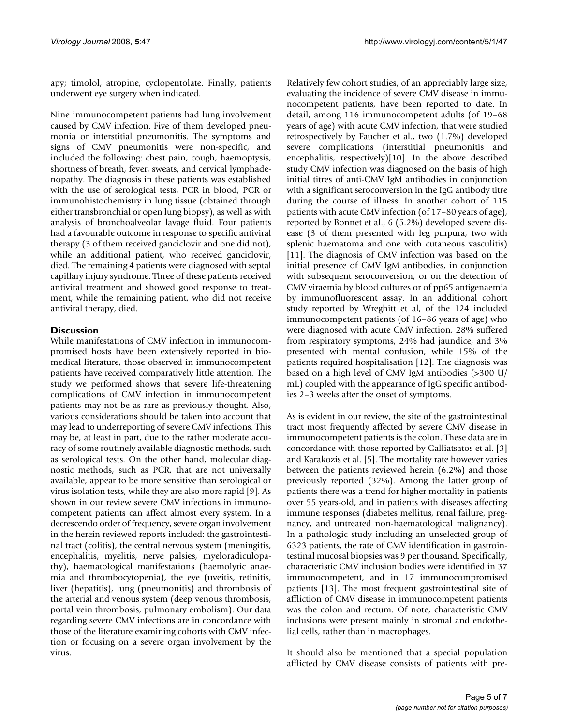apy; timolol, atropine, cyclopentolate. Finally, patients underwent eye surgery when indicated.

Nine immunocompetent patients had lung involvement caused by CMV infection. Five of them developed pneumonia or interstitial pneumonitis. The symptoms and signs of CMV pneumonitis were non-specific, and included the following: chest pain, cough, haemoptysis, shortness of breath, fever, sweats, and cervical lymphadenopathy. The diagnosis in these patients was established with the use of serological tests, PCR in blood, PCR or immunohistochemistry in lung tissue (obtained through either transbronchial or open lung biopsy), as well as with analysis of bronchoalveolar lavage fluid. Four patients had a favourable outcome in response to specific antiviral therapy (3 of them received ganciclovir and one did not), while an additional patient, who received ganciclovir, died. The remaining 4 patients were diagnosed with septal capillary injury syndrome. Three of these patients received antiviral treatment and showed good response to treatment, while the remaining patient, who did not receive antiviral therapy, died.

# **Discussion**

While manifestations of CMV infection in immunocompromised hosts have been extensively reported in biomedical literature, those observed in immunocompetent patients have received comparatively little attention. The study we performed shows that severe life-threatening complications of CMV infection in immunocompetent patients may not be as rare as previously thought. Also, various considerations should be taken into account that may lead to underreporting of severe CMV infections. This may be, at least in part, due to the rather moderate accuracy of some routinely available diagnostic methods, such as serological tests. On the other hand, molecular diagnostic methods, such as PCR, that are not universally available, appear to be more sensitive than serological or virus isolation tests, while they are also more rapid [9]. As shown in our review severe CMV infections in immunocompetent patients can affect almost every system. In a decrescendo order of frequency, severe organ involvement in the herein reviewed reports included: the gastrointestinal tract (colitis), the central nervous system (meningitis, encephalitis, myelitis, nerve palsies, myeloradiculopathy), haematological manifestations (haemolytic anaemia and thrombocytopenia), the eye (uveitis, retinitis, liver (hepatitis), lung (pneumonitis) and thrombosis of the arterial and venous system (deep venous thrombosis, portal vein thrombosis, pulmonary embolism). Our data regarding severe CMV infections are in concordance with those of the literature examining cohorts with CMV infection or focusing on a severe organ involvement by the virus.

Relatively few cohort studies, of an appreciably large size, evaluating the incidence of severe CMV disease in immunocompetent patients, have been reported to date. In detail, among 116 immunocompetent adults (of 19–68 years of age) with acute CMV infection, that were studied retrospectively by Faucher et al., two (1.7%) developed severe complications (interstitial pneumonitis and encephalitis, respectively)[10]. In the above described study CMV infection was diagnosed on the basis of high initial titres of anti-CMV IgM antibodies in conjunction with a significant seroconversion in the IgG antibody titre during the course of illness. In another cohort of 115 patients with acute CMV infection (of 17–80 years of age), reported by Bonnet et al., 6 (5.2%) developed severe disease (3 of them presented with leg purpura, two with splenic haematoma and one with cutaneous vasculitis) [11]. The diagnosis of CMV infection was based on the initial presence of CMV IgM antibodies, in conjunction with subsequent seroconversion, or on the detection of CMV viraemia by blood cultures or of pp65 antigenaemia by immunofluorescent assay. In an additional cohort study reported by Wreghitt et al, of the 124 included immunocompetent patients (of 16–86 years of age) who were diagnosed with acute CMV infection, 28% suffered from respiratory symptoms, 24% had jaundice, and 3% presented with mental confusion, while 15% of the patients required hospitalisation [12]. The diagnosis was based on a high level of CMV IgM antibodies (>300 U/ mL) coupled with the appearance of IgG specific antibodies 2–3 weeks after the onset of symptoms.

As is evident in our review, the site of the gastrointestinal tract most frequently affected by severe CMV disease in immunocompetent patients is the colon. These data are in concordance with those reported by Galliatsatos et al. [3] and Karakozis et al. [5]. The mortality rate however varies between the patients reviewed herein (6.2%) and those previously reported (32%). Among the latter group of patients there was a trend for higher mortality in patients over 55 years-old, and in patients with diseases affecting immune responses (diabetes mellitus, renal failure, pregnancy, and untreated non-haematological malignancy). In a pathologic study including an unselected group of 6323 patients, the rate of CMV identification in gastrointestinal mucosal biopsies was 9 per thousand. Specifically, characteristic CMV inclusion bodies were identified in 37 immunocompetent, and in 17 immunocompromised patients [13]. The most frequent gastrointestinal site of affliction of CMV disease in immunocompetent patients was the colon and rectum. Of note, characteristic CMV inclusions were present mainly in stromal and endothelial cells, rather than in macrophages.

It should also be mentioned that a special population afflicted by CMV disease consists of patients with pre-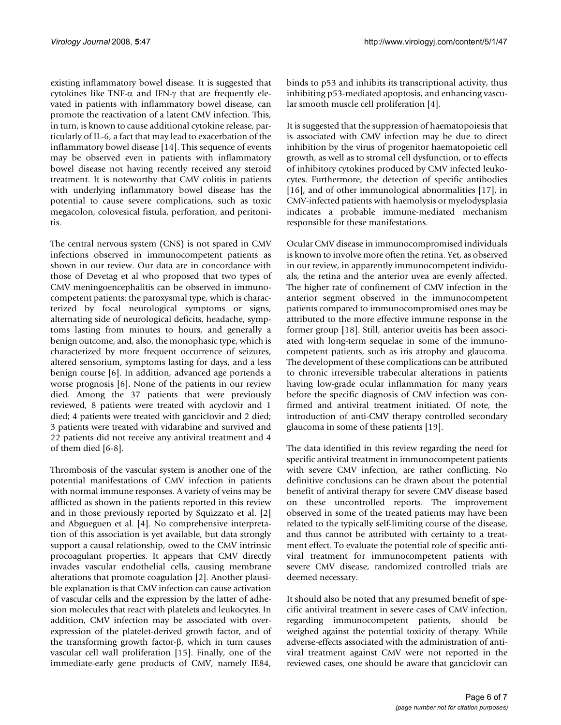existing inflammatory bowel disease. It is suggested that cytokines like TNF-α and IFN-γ that are frequently elevated in patients with inflammatory bowel disease, can promote the reactivation of a latent CMV infection. This, in turn, is known to cause additional cytokine release, particularly of IL-6, a fact that may lead to exacerbation of the inflammatory bowel disease [14]. This sequence of events may be observed even in patients with inflammatory bowel disease not having recently received any steroid treatment. It is noteworthy that CMV colitis in patients with underlying inflammatory bowel disease has the potential to cause severe complications, such as toxic megacolon, colovesical fistula, perforation, and peritonitis.

The central nervous system (CNS) is not spared in CMV infections observed in immunocompetent patients as shown in our review. Our data are in concordance with those of Devetag et al who proposed that two types of CMV meningoencephalitis can be observed in immunocompetent patients: the paroxysmal type, which is characterized by focal neurological symptoms or signs, alternating side of neurological deficits, headache, symptoms lasting from minutes to hours, and generally a benign outcome, and, also, the monophasic type, which is characterized by more frequent occurrence of seizures, altered sensorium, symptoms lasting for days, and a less benign course [6]. In addition, advanced age portends a worse prognosis [6]. None of the patients in our review died. Among the 37 patients that were previously reviewed, 8 patients were treated with acyclovir and 1 died; 4 patients were treated with ganciclovir and 2 died; 3 patients were treated with vidarabine and survived and 22 patients did not receive any antiviral treatment and 4 of them died [6-8].

Thrombosis of the vascular system is another one of the potential manifestations of CMV infection in patients with normal immune responses. A variety of veins may be afflicted as shown in the patients reported in this review and in those previously reported by Squizzato et al. [2] and Abgueguen et al. [4]. No comprehensive interpretation of this association is yet available, but data strongly support a causal relationship, owed to the CMV intrinsic procoagulant properties. It appears that CMV directly invades vascular endothelial cells, causing membrane alterations that promote coagulation [2]. Another plausible explanation is that CMV infection can cause activation of vascular cells and the expression by the latter of adhesion molecules that react with platelets and leukocytes. In addition, CMV infection may be associated with overexpression of the platelet-derived growth factor, and of the transforming growth factor-β, which in turn causes vascular cell wall proliferation [15]. Finally, one of the immediate-early gene products of CMV, namely IE84,

binds to p53 and inhibits its transcriptional activity, thus inhibiting p53-mediated apoptosis, and enhancing vascular smooth muscle cell proliferation [4].

It is suggested that the suppression of haematopoiesis that is associated with CMV infection may be due to direct inhibition by the virus of progenitor haematopoietic cell growth, as well as to stromal cell dysfunction, or to effects of inhibitory cytokines produced by CMV infected leukocytes. Furthermore, the detection of specific antibodies [16], and of other immunological abnormalities [17], in CMV-infected patients with haemolysis or myelodysplasia indicates a probable immune-mediated mechanism responsible for these manifestations.

Ocular CMV disease in immunocompromised individuals is known to involve more often the retina. Yet, as observed in our review, in apparently immunocompetent individuals, the retina and the anterior uvea are evenly affected. The higher rate of confinement of CMV infection in the anterior segment observed in the immunocompetent patients compared to immunocompromised ones may be attributed to the more effective immune response in the former group [18]. Still, anterior uveitis has been associated with long-term sequelae in some of the immunocompetent patients, such as iris atrophy and glaucoma. The development of these complications can be attributed to chronic irreversible trabecular alterations in patients having low-grade ocular inflammation for many years before the specific diagnosis of CMV infection was confirmed and antiviral treatment initiated. Of note, the introduction of anti-CMV therapy controlled secondary glaucoma in some of these patients [19].

The data identified in this review regarding the need for specific antiviral treatment in immunocompetent patients with severe CMV infection, are rather conflicting. No definitive conclusions can be drawn about the potential benefit of antiviral therapy for severe CMV disease based on these uncontrolled reports. The improvement observed in some of the treated patients may have been related to the typically self-limiting course of the disease, and thus cannot be attributed with certainty to a treatment effect. To evaluate the potential role of specific antiviral treatment for immunocompetent patients with severe CMV disease, randomized controlled trials are deemed necessary.

It should also be noted that any presumed benefit of specific antiviral treatment in severe cases of CMV infection, regarding immunocompetent patients, should be weighed against the potential toxicity of therapy. While adverse-effects associated with the administration of antiviral treatment against CMV were not reported in the reviewed cases, one should be aware that ganciclovir can